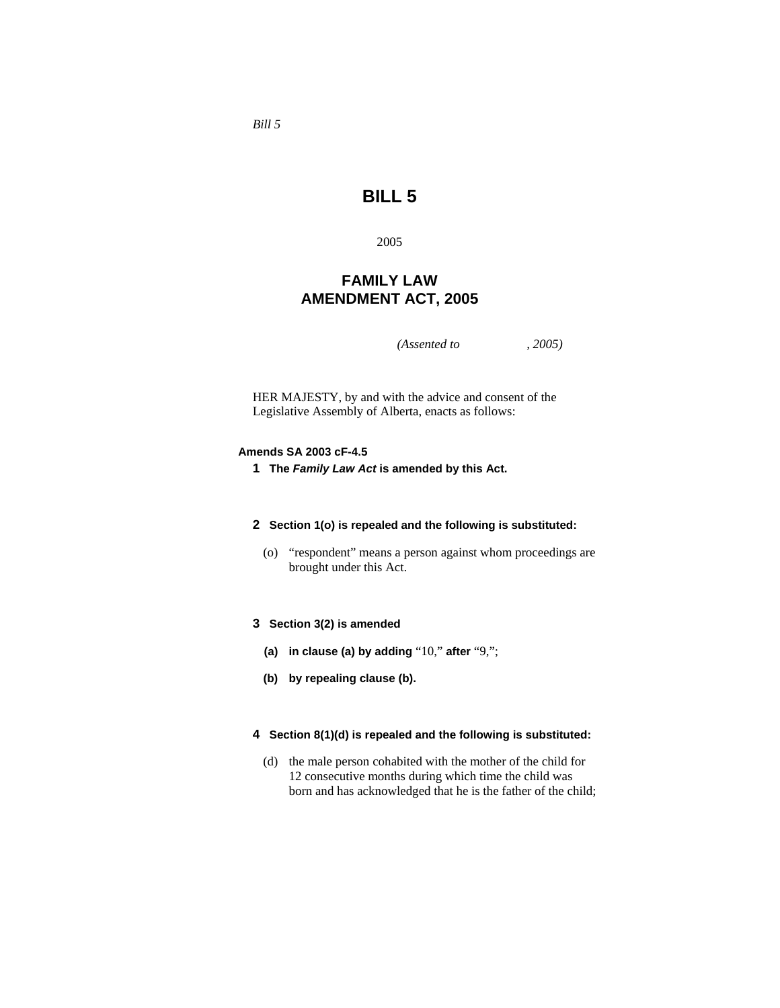# **BILL 5**

2005

## **FAMILY LAW AMENDMENT ACT, 2005**

*(Assented to , 2005)* 

HER MAJESTY, by and with the advice and consent of the Legislative Assembly of Alberta, enacts as follows:

#### **Amends SA 2003 cF-4.5**

**1 The** *Family Law Act* **is amended by this Act.**

#### **2 Section 1(o) is repealed and the following is substituted:**

 (o) "respondent" means a person against whom proceedings are brought under this Act.

## **3 Section 3(2) is amended**

- **(a) in clause (a) by adding** "10," **after** "9,";
- **(b) by repealing clause (b).**

## **4 Section 8(1)(d) is repealed and the following is substituted:**

 (d) the male person cohabited with the mother of the child for 12 consecutive months during which time the child was born and has acknowledged that he is the father of the child;

*Bill 5*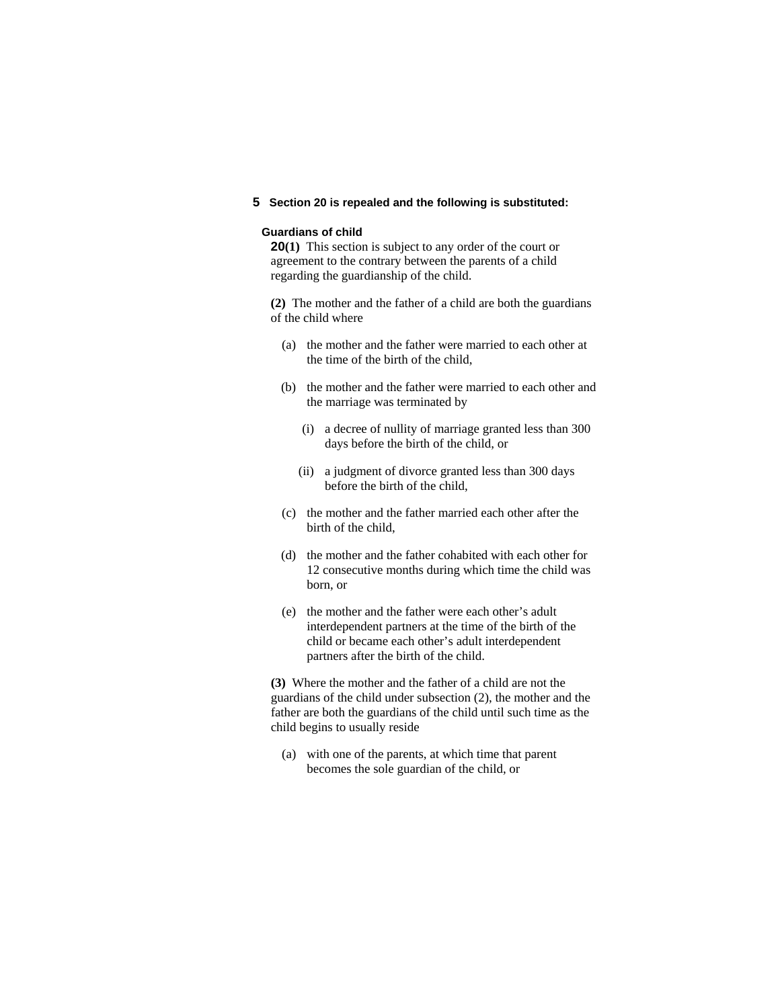## **5 Section 20 is repealed and the following is substituted:**

## **Guardians of child**

**20(1)** This section is subject to any order of the court or agreement to the contrary between the parents of a child regarding the guardianship of the child.

**(2)** The mother and the father of a child are both the guardians of the child where

- (a) the mother and the father were married to each other at the time of the birth of the child,
- (b) the mother and the father were married to each other and the marriage was terminated by
	- (i) a decree of nullity of marriage granted less than 300 days before the birth of the child, or
	- (ii) a judgment of divorce granted less than 300 days before the birth of the child,
- (c) the mother and the father married each other after the birth of the child,
- (d) the mother and the father cohabited with each other for 12 consecutive months during which time the child was born, or
- (e) the mother and the father were each other's adult interdependent partners at the time of the birth of the child or became each other's adult interdependent partners after the birth of the child.

**(3)** Where the mother and the father of a child are not the guardians of the child under subsection (2), the mother and the father are both the guardians of the child until such time as the child begins to usually reside

 (a) with one of the parents, at which time that parent becomes the sole guardian of the child, or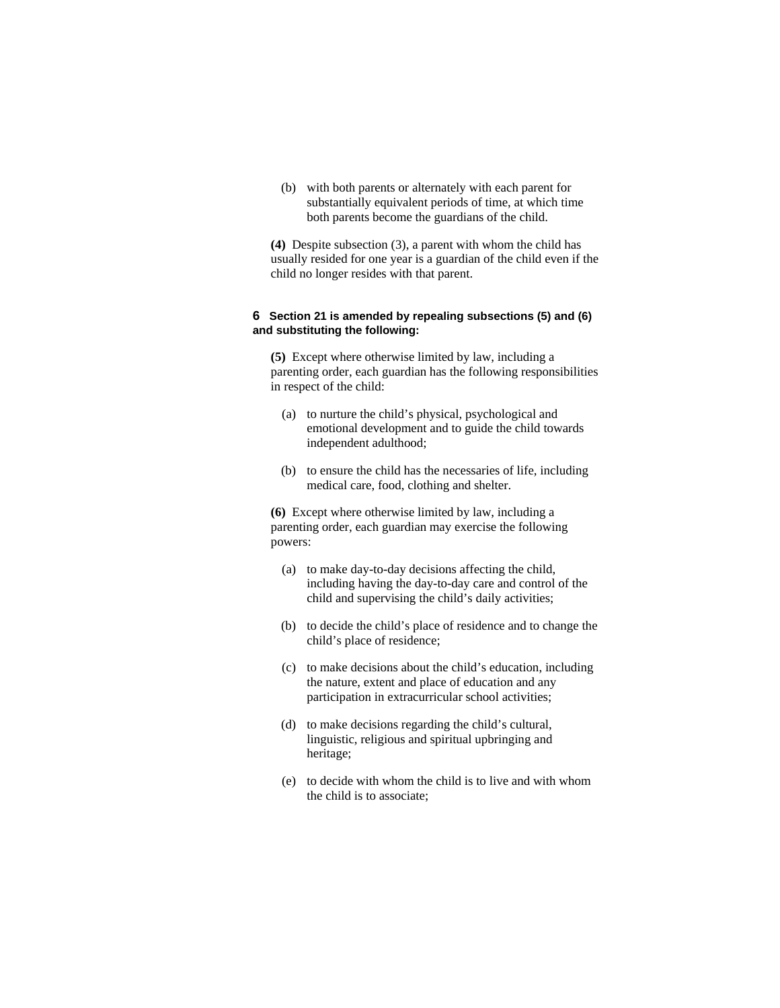(b) with both parents or alternately with each parent for substantially equivalent periods of time, at which time both parents become the guardians of the child.

**(4)** Despite subsection (3), a parent with whom the child has usually resided for one year is a guardian of the child even if the child no longer resides with that parent.

#### **6 Section 21 is amended by repealing subsections (5) and (6) and substituting the following:**

**(5)** Except where otherwise limited by law, including a parenting order, each guardian has the following responsibilities in respect of the child:

- (a) to nurture the child's physical, psychological and emotional development and to guide the child towards independent adulthood;
- (b) to ensure the child has the necessaries of life, including medical care, food, clothing and shelter.

**(6)** Except where otherwise limited by law, including a parenting order, each guardian may exercise the following powers:

- (a) to make day-to-day decisions affecting the child, including having the day-to-day care and control of the child and supervising the child's daily activities;
- (b) to decide the child's place of residence and to change the child's place of residence;
- (c) to make decisions about the child's education, including the nature, extent and place of education and any participation in extracurricular school activities;
- (d) to make decisions regarding the child's cultural, linguistic, religious and spiritual upbringing and heritage;
- (e) to decide with whom the child is to live and with whom the child is to associate;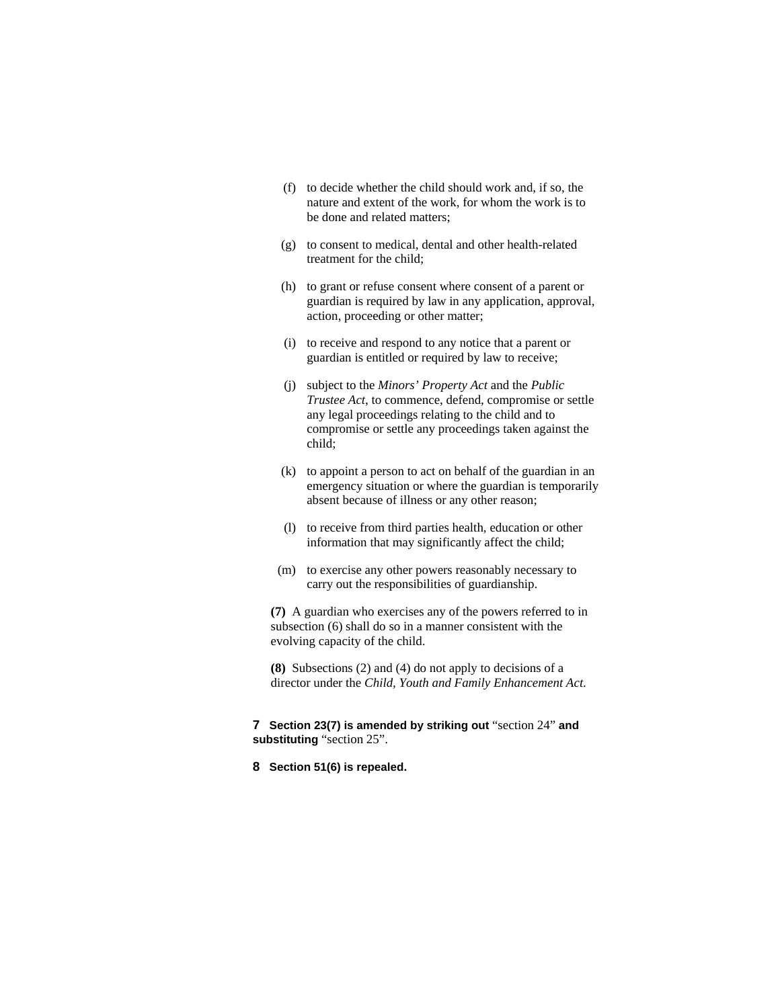- (f) to decide whether the child should work and, if so, the nature and extent of the work, for whom the work is to be done and related matters;
- (g) to consent to medical, dental and other health-related treatment for the child;
- (h) to grant or refuse consent where consent of a parent or guardian is required by law in any application, approval, action, proceeding or other matter;
- (i) to receive and respond to any notice that a parent or guardian is entitled or required by law to receive;
- (j) subject to the *Minors' Property Act* and the *Public Trustee Act*, to commence, defend, compromise or settle any legal proceedings relating to the child and to compromise or settle any proceedings taken against the child;
- (k) to appoint a person to act on behalf of the guardian in an emergency situation or where the guardian is temporarily absent because of illness or any other reason;
- (l) to receive from third parties health, education or other information that may significantly affect the child;
- (m) to exercise any other powers reasonably necessary to carry out the responsibilities of guardianship.

**(7)** A guardian who exercises any of the powers referred to in subsection (6) shall do so in a manner consistent with the evolving capacity of the child.

**(8)** Subsections (2) and (4) do not apply to decisions of a director under the *Child, Youth and Family Enhancement Act*.

**7 Section 23(7) is amended by striking out** "section 24" **and substituting** "section 25".

**8 Section 51(6) is repealed.**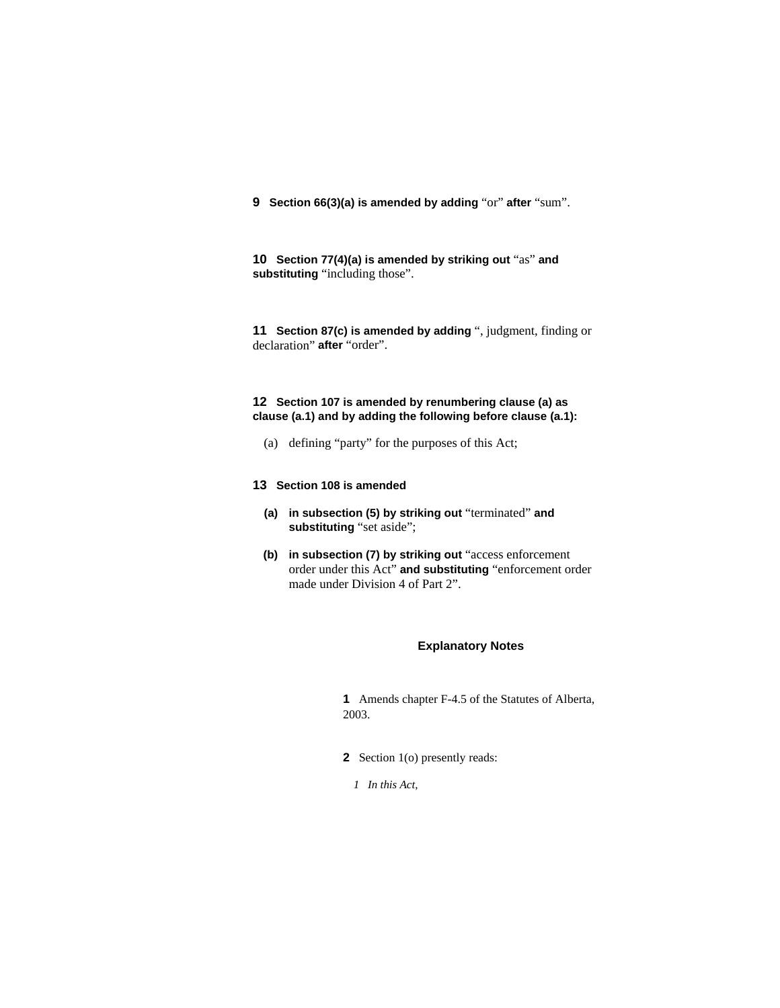**9 Section 66(3)(a) is amended by adding** "or" **after** "sum".

**10 Section 77(4)(a) is amended by striking out** "as" **and substituting** "including those".

**11 Section 87(c) is amended by adding** ", judgment, finding or declaration" **after** "order".

## **12 Section 107 is amended by renumbering clause (a) as clause (a.1) and by adding the following before clause (a.1):**

(a) defining "party" for the purposes of this Act;

## **13 Section 108 is amended**

- **(a) in subsection (5) by striking out** "terminated" **and substituting** "set aside";
- **(b) in subsection (7) by striking out** "access enforcement order under this Act" **and substituting** "enforcement order made under Division 4 of Part 2".

#### **Explanatory Notes**

**1** Amends chapter F-4.5 of the Statutes of Alberta, 2003.

- **2** Section 1(o) presently reads:
	- *1 In this Act,*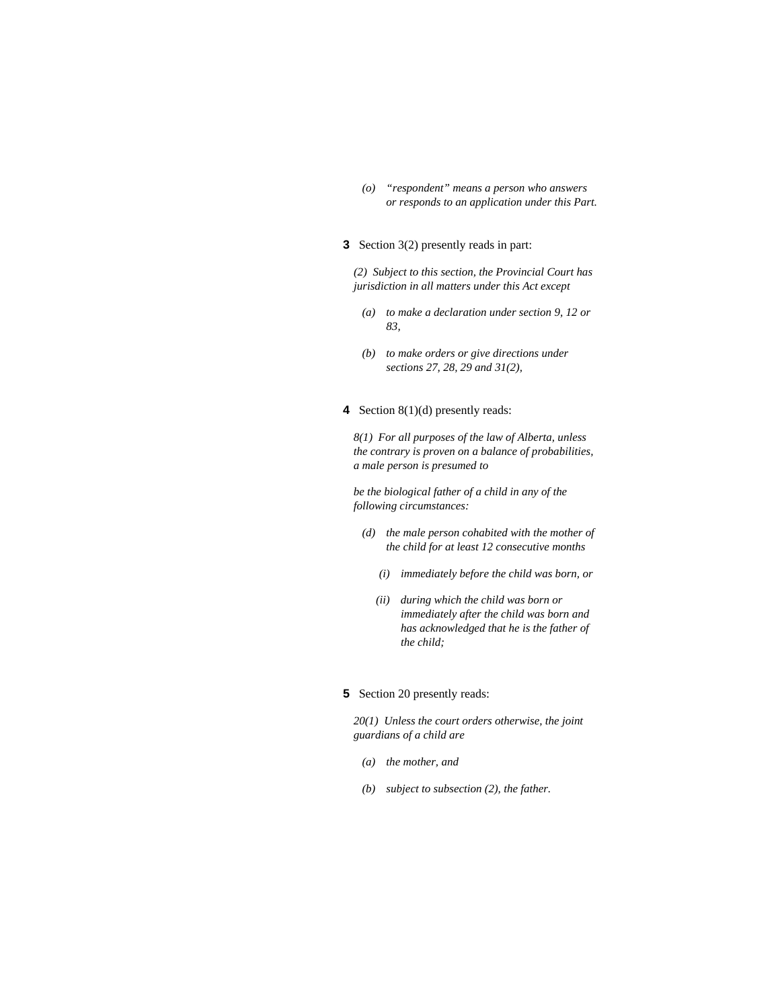*(o) "respondent" means a person who answers or responds to an application under this Part.* 

### **3** Section 3(2) presently reads in part:

*(2) Subject to this section, the Provincial Court has jurisdiction in all matters under this Act except* 

- *(a) to make a declaration under section 9, 12 or 83,*
- *(b) to make orders or give directions under sections 27, 28, 29 and 31(2),*

#### **4** Section 8(1)(d) presently reads:

*8(1) For all purposes of the law of Alberta, unless the contrary is proven on a balance of probabilities, a male person is presumed to* 

*be the biological father of a child in any of the following circumstances:* 

- *(d) the male person cohabited with the mother of the child for at least 12 consecutive months* 
	- *(i) immediately before the child was born, or*
	- *(ii) during which the child was born or immediately after the child was born and has acknowledged that he is the father of the child;*

#### **5** Section 20 presently reads:

*20(1) Unless the court orders otherwise, the joint guardians of a child are* 

- *(a) the mother, and*
- *(b) subject to subsection (2), the father.*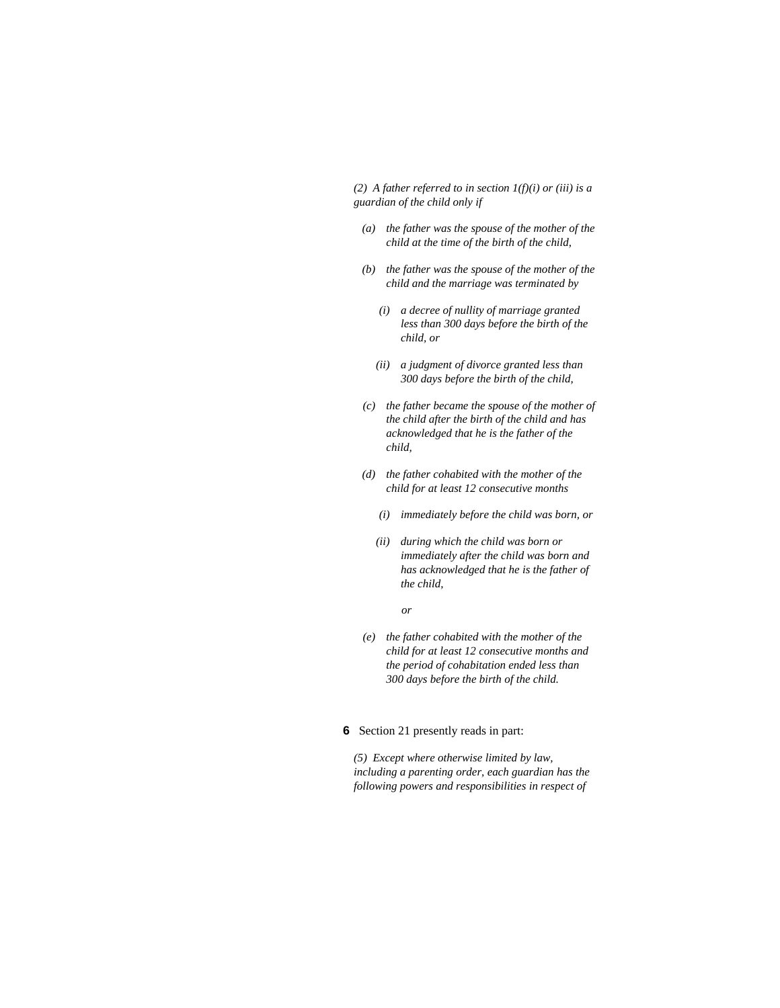*(2) A father referred to in section 1(f)(i) or (iii) is a guardian of the child only if* 

- *(a) the father was the spouse of the mother of the child at the time of the birth of the child,*
- *(b) the father was the spouse of the mother of the child and the marriage was terminated by* 
	- *(i) a decree of nullity of marriage granted less than 300 days before the birth of the child, or*
	- *(ii) a judgment of divorce granted less than 300 days before the birth of the child,*
- *(c) the father became the spouse of the mother of the child after the birth of the child and has acknowledged that he is the father of the child,*
- *(d) the father cohabited with the mother of the child for at least 12 consecutive months* 
	- *(i) immediately before the child was born, or*
	- *(ii) during which the child was born or immediately after the child was born and has acknowledged that he is the father of the child,*

 *or* 

- *(e) the father cohabited with the mother of the child for at least 12 consecutive months and the period of cohabitation ended less than 300 days before the birth of the child.*
- **6** Section 21 presently reads in part:

*(5) Except where otherwise limited by law, including a parenting order, each guardian has the following powers and responsibilities in respect of*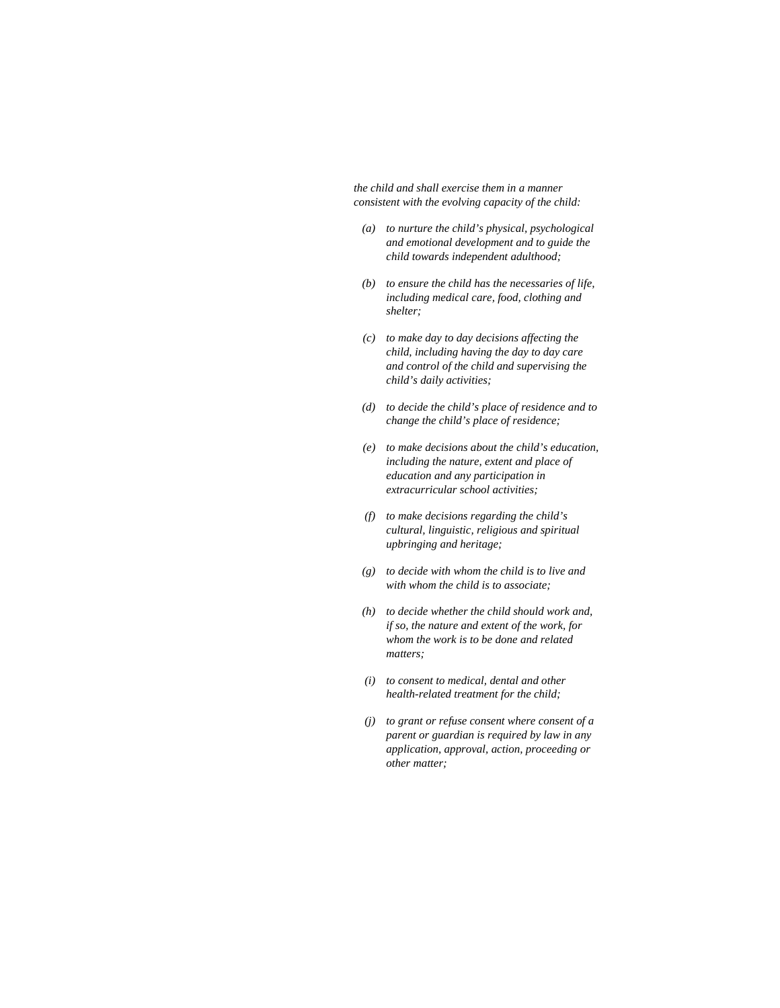*the child and shall exercise them in a manner consistent with the evolving capacity of the child:* 

- *(a) to nurture the child's physical, psychological and emotional development and to guide the child towards independent adulthood;*
- *(b) to ensure the child has the necessaries of life, including medical care, food, clothing and shelter;*
- *(c) to make day to day decisions affecting the child, including having the day to day care and control of the child and supervising the child's daily activities;*
- *(d) to decide the child's place of residence and to change the child's place of residence;*
- *(e) to make decisions about the child's education, including the nature, extent and place of education and any participation in extracurricular school activities;*
- *(f) to make decisions regarding the child's cultural, linguistic, religious and spiritual upbringing and heritage;*
- *(g) to decide with whom the child is to live and with whom the child is to associate;*
- *(h) to decide whether the child should work and, if so, the nature and extent of the work, for whom the work is to be done and related matters;*
- *(i) to consent to medical, dental and other health-related treatment for the child;*
- *(j) to grant or refuse consent where consent of a parent or guardian is required by law in any application, approval, action, proceeding or other matter;*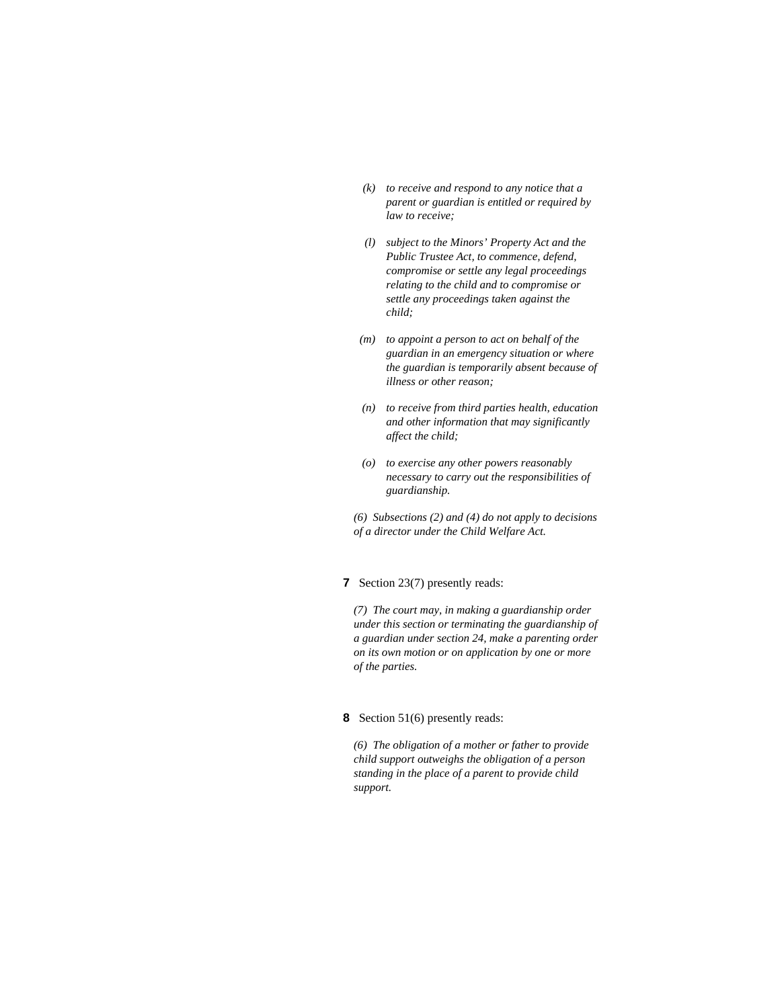- *(k) to receive and respond to any notice that a parent or guardian is entitled or required by law to receive;*
- *(l) subject to the Minors' Property Act and the Public Trustee Act, to commence, defend, compromise or settle any legal proceedings relating to the child and to compromise or settle any proceedings taken against the child;*
- *(m) to appoint a person to act on behalf of the guardian in an emergency situation or where the guardian is temporarily absent because of illness or other reason;*
- *(n) to receive from third parties health, education and other information that may significantly affect the child;*
- *(o) to exercise any other powers reasonably necessary to carry out the responsibilities of guardianship.*

*(6) Subsections (2) and (4) do not apply to decisions of a director under the Child Welfare Act.* 

## **7** Section 23(7) presently reads:

*(7) The court may, in making a guardianship order under this section or terminating the guardianship of a guardian under section 24, make a parenting order on its own motion or on application by one or more of the parties.* 

## **8** Section 51(6) presently reads:

*(6) The obligation of a mother or father to provide child support outweighs the obligation of a person standing in the place of a parent to provide child support.*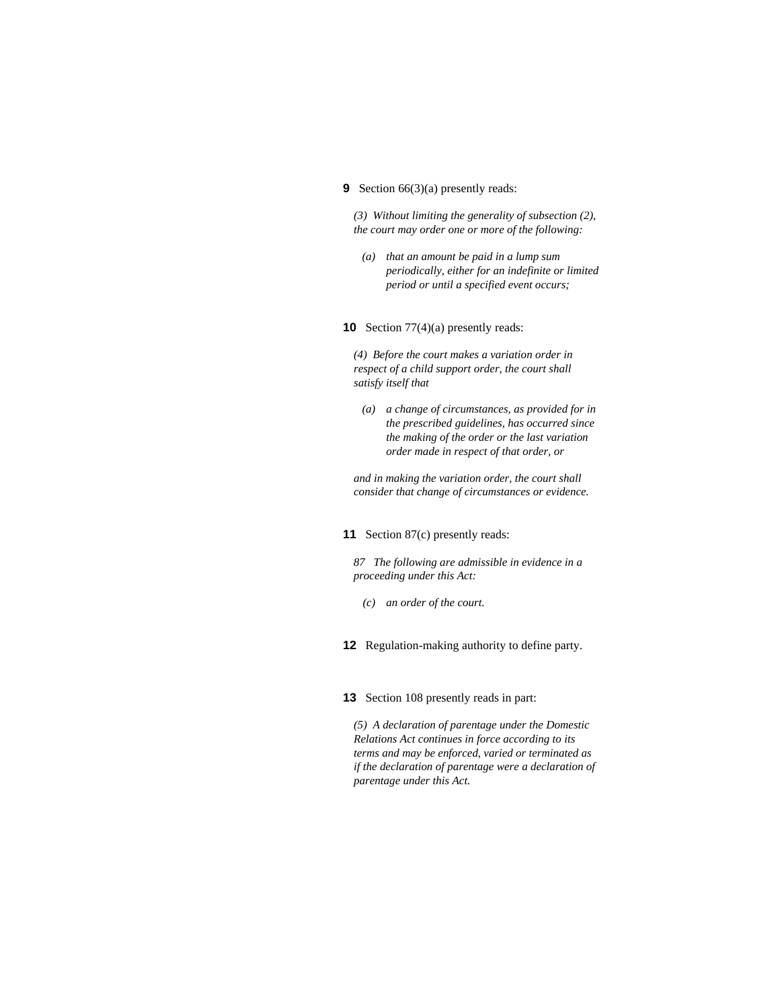#### **9** Section 66(3)(a) presently reads:

*(3) Without limiting the generality of subsection (2), the court may order one or more of the following:* 

 *(a) that an amount be paid in a lump sum periodically, either for an indefinite or limited period or until a specified event occurs;* 

#### **10** Section 77(4)(a) presently reads:

*(4) Before the court makes a variation order in respect of a child support order, the court shall satisfy itself that* 

 *(a) a change of circumstances, as provided for in the prescribed guidelines, has occurred since the making of the order or the last variation order made in respect of that order, or* 

*and in making the variation order, the court shall consider that change of circumstances or evidence.* 

#### **11** Section 87(c) presently reads:

*87 The following are admissible in evidence in a proceeding under this Act:* 

- *(c) an order of the court.*
- **12** Regulation-making authority to define party.

#### **13** Section 108 presently reads in part:

*(5) A declaration of parentage under the Domestic Relations Act continues in force according to its terms and may be enforced, varied or terminated as if the declaration of parentage were a declaration of parentage under this Act.*